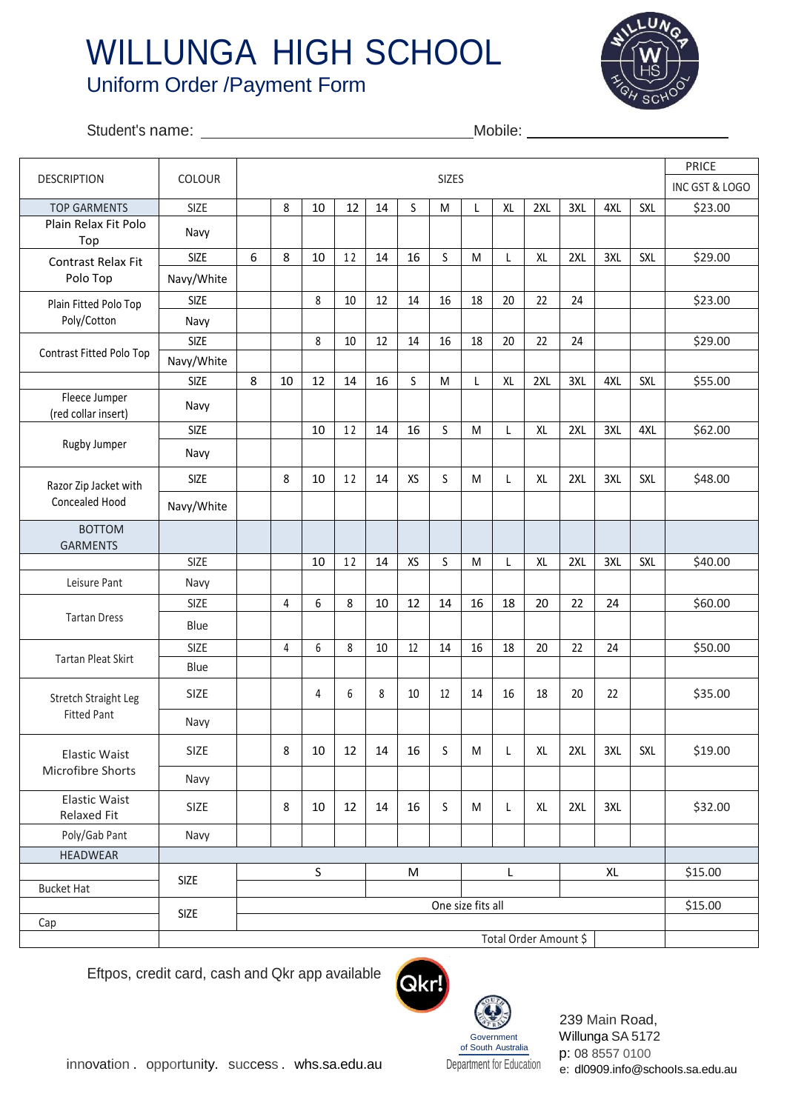## WILLUNGA HIGH SCHOOL Uniform Order /Payment Form



## Student's name: Mobile:

|                                            | COLOUR      | <b>SIZES</b>      |                |             |        |        |           |    |    |    |                       |     |     |            | <b>PRICE</b>   |
|--------------------------------------------|-------------|-------------------|----------------|-------------|--------|--------|-----------|----|----|----|-----------------------|-----|-----|------------|----------------|
| <b>DESCRIPTION</b>                         |             |                   |                |             |        |        |           |    |    |    |                       |     |     |            | INC GST & LOGO |
| <b>TOP GARMENTS</b>                        | <b>SIZE</b> |                   | 8              | 10          | 12     | 14     | S         | M  | L  | XL | 2XL                   | 3XL | 4XL | <b>SXL</b> | \$23.00        |
| Plain Relax Fit Polo<br>Top                | Navy        |                   |                |             |        |        |           |    |    |    |                       |     |     |            |                |
| Contrast Relax Fit<br>Polo Top             | <b>SIZE</b> | 6                 | 8              | 10          | 12     | 14     | 16        | S  | M  | L  | XL                    | 2XL | 3XL | SXL        | \$29.00        |
|                                            | Navy/White  |                   |                |             |        |        |           |    |    |    |                       |     |     |            |                |
| Plain Fitted Polo Top<br>Poly/Cotton       | <b>SIZE</b> |                   |                | 8           | 10     | 12     | 14        | 16 | 18 | 20 | 22                    | 24  |     |            | \$23.00        |
|                                            | Navy        |                   |                |             |        |        |           |    |    |    |                       |     |     |            |                |
| Contrast Fitted Polo Top                   | <b>SIZE</b> |                   |                | 8           | 10     | 12     | 14        | 16 | 18 | 20 | 22                    | 24  |     |            | \$29.00        |
|                                            | Navy/White  |                   |                |             |        |        |           |    |    |    |                       |     |     |            |                |
|                                            | <b>SIZE</b> | 8                 | 10             | 12          | 14     | 16     | S         | M  | L  | XL | 2XL                   | 3XL | 4XL | <b>SXL</b> | \$55.00        |
| Fleece Jumper<br>(red collar insert)       | Navy        |                   |                |             |        |        |           |    |    |    |                       |     |     |            |                |
| Rugby Jumper                               | <b>SIZE</b> |                   |                | 10          | 12     | 14     | 16        | S  | M  | L  | XL                    | 2XL | 3XL | 4XL        | \$62.00        |
|                                            | Navy        |                   |                |             |        |        |           |    |    |    |                       |     |     |            |                |
| Razor Zip Jacket with<br>Concealed Hood    | <b>SIZE</b> |                   | 8              | 10          | 12     | 14     | XS        | S  | M  | L  | XL                    | 2XL | 3XL | SXL        | \$48.00        |
|                                            | Navy/White  |                   |                |             |        |        |           |    |    |    |                       |     |     |            |                |
| <b>BOTTOM</b><br><b>GARMENTS</b>           |             |                   |                |             |        |        |           |    |    |    |                       |     |     |            |                |
|                                            | <b>SIZE</b> |                   |                | 10          | 12     | 14     | XS        | S  | M  | L  | <b>XL</b>             | 2XL | 3XL | SXL        | \$40.00        |
| Leisure Pant                               | Navy        |                   |                |             |        |        |           |    |    |    |                       |     |     |            |                |
| <b>Tartan Dress</b>                        | <b>SIZE</b> |                   | $\overline{4}$ | 6           | 8      | 10     | 12        | 14 | 16 | 18 | 20                    | 22  | 24  |            | \$60.00        |
|                                            | Blue        |                   |                |             |        |        |           |    |    |    |                       |     |     |            |                |
| <b>Tartan Pleat Skirt</b>                  | <b>SIZE</b> |                   | 4              | 6           | 8      | 10     | 12        | 14 | 16 | 18 | 20                    | 22  | 24  |            | \$50.00        |
|                                            | Blue        |                   |                |             |        |        |           |    |    |    |                       |     |     |            |                |
| Stretch Straight Leg<br><b>Fitted Pant</b> | <b>SIZE</b> |                   |                | 4           | 6      | 8      | 10        | 12 | 14 | 16 | 18                    | 20  | 22  |            | \$35.00        |
|                                            | Navy        |                   |                |             |        |        |           |    |    |    |                       |     |     |            |                |
| <b>Elastic Waist</b><br>Microfibre Shorts  | SIZE        |                   | 8              | 10          | 12     | $14\,$ | 16        | S  | M  | L  | XL                    | 2XL | 3XL | SXL        | \$19.00        |
|                                            | Navy        |                   |                |             |        |        |           |    |    |    |                       |     |     |            |                |
| <b>Elastic Waist</b><br>Relaxed Fit        | SIZE        |                   | 8              | 10          | $12\,$ | 14     | 16        | S  | M  | L  | XL                    | 2XL | 3XL |            | \$32.00        |
| Poly/Gab Pant                              | Navy        |                   |                |             |        |        |           |    |    |    |                       |     |     |            |                |
| <b>HEADWEAR</b>                            |             |                   |                |             |        |        |           |    |    |    |                       |     |     |            |                |
| <b>Bucket Hat</b>                          | SIZE        |                   |                | $\mathsf S$ |        |        | ${\sf M}$ |    |    | L  |                       |     |     |            | \$15.00        |
|                                            |             |                   |                |             |        |        |           |    |    |    |                       |     |     |            | \$15.00        |
| Cap                                        | SIZE        | One size fits all |                |             |        |        |           |    |    |    |                       |     |     |            |                |
|                                            |             |                   |                |             |        |        |           |    |    |    | Total Order Amount \$ |     |     |            |                |

Eftpos, credit card, cash and Qkr app available



 Government of South Australia 239 Main Road, Willunga SA 5172 p: 08 8557 0100 e: dl0909.info@schooIs.sa.edu.au